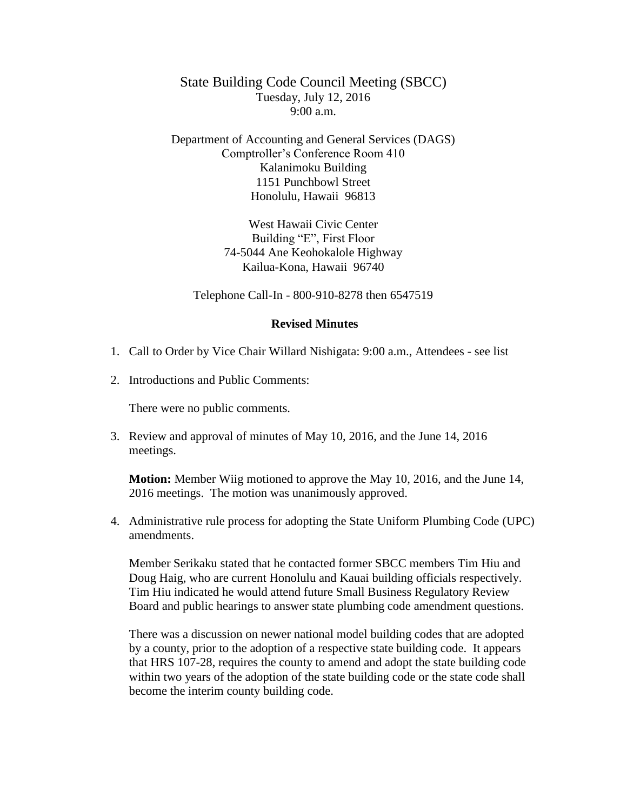## State Building Code Council Meeting (SBCC) Tuesday, July 12, 2016  $9:00 a.m.$

Department of Accounting and General Services (DAGS) Comptroller's Conference Room 410 Kalanimoku Building 1151 Punchbowl Street Honolulu, Hawaii 96813

> West Hawaii Civic Center Building "E", First Floor 74-5044 Ane Keohokalole Highway Kailua-Kona, Hawaii 96740

Telephone Call-In - 800-910-8278 then 6547519

## **Revised Minutes**

- 1. Call to Order by Vice Chair Willard Nishigata: 9:00 a.m., Attendees see list
- 2. Introductions and Public Comments:

There were no public comments.

3. Review and approval of minutes of May 10, 2016, and the June 14, 2016 meetings.

**Motion:** Member Wiig motioned to approve the May 10, 2016, and the June 14, 2016 meetings. The motion was unanimously approved.

4. Administrative rule process for adopting the State Uniform Plumbing Code (UPC) amendments.

Member Serikaku stated that he contacted former SBCC members Tim Hiu and Doug Haig, who are current Honolulu and Kauai building officials respectively. Tim Hiu indicated he would attend future Small Business Regulatory Review Board and public hearings to answer state plumbing code amendment questions.

There was a discussion on newer national model building codes that are adopted by a county, prior to the adoption of a respective state building code. It appears that HRS 107-28, requires the county to amend and adopt the state building code within two years of the adoption of the state building code or the state code shall become the interim county building code.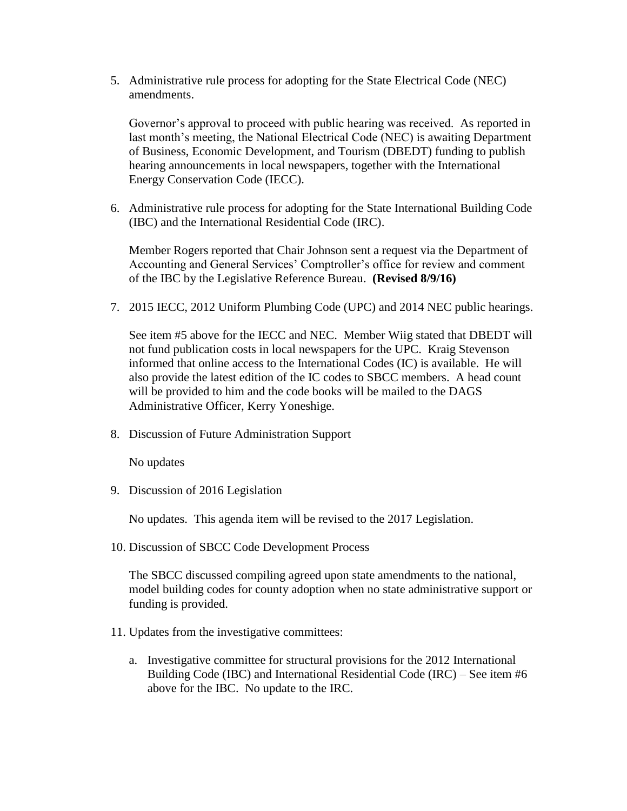5. Administrative rule process for adopting for the State Electrical Code (NEC) amendments.

Governor's approval to proceed with public hearing was received. As reported in last month's meeting, the National Electrical Code (NEC) is awaiting Department of Business, Economic Development, and Tourism (DBEDT) funding to publish hearing announcements in local newspapers, together with the International Energy Conservation Code (IECC).

6. Administrative rule process for adopting for the State International Building Code (IBC) and the International Residential Code (IRC).

Member Rogers reported that Chair Johnson sent a request via the Department of Accounting and General Services' Comptroller's office for review and comment of the IBC by the Legislative Reference Bureau. **(Revised 8/9/16)**

7. 2015 IECC, 2012 Uniform Plumbing Code (UPC) and 2014 NEC public hearings.

See item #5 above for the IECC and NEC. Member Wiig stated that DBEDT will not fund publication costs in local newspapers for the UPC. Kraig Stevenson informed that online access to the International Codes (IC) is available. He will also provide the latest edition of the IC codes to SBCC members. A head count will be provided to him and the code books will be mailed to the DAGS Administrative Officer, Kerry Yoneshige.

8. Discussion of Future Administration Support

No updates

9. Discussion of 2016 Legislation

No updates. This agenda item will be revised to the 2017 Legislation.

10. Discussion of SBCC Code Development Process

The SBCC discussed compiling agreed upon state amendments to the national, model building codes for county adoption when no state administrative support or funding is provided.

- 11. Updates from the investigative committees:
	- a. Investigative committee for structural provisions for the 2012 International Building Code (IBC) and International Residential Code (IRC) – See item #6 above for the IBC. No update to the IRC.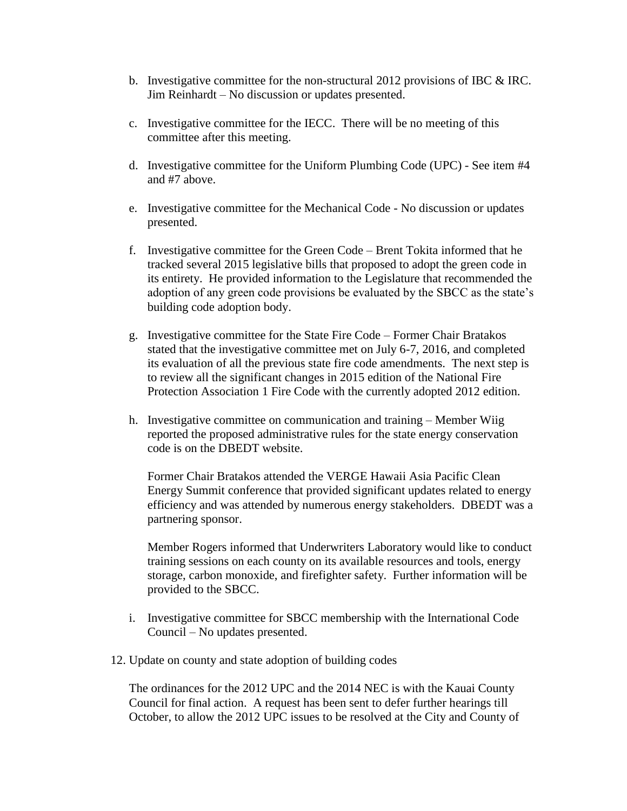- b. Investigative committee for the non-structural 2012 provisions of IBC  $\&$  IRC. Jim Reinhardt – No discussion or updates presented.
- c. Investigative committee for the IECC. There will be no meeting of this committee after this meeting.
- d. Investigative committee for the Uniform Plumbing Code (UPC) See item #4 and #7 above.
- e. Investigative committee for the Mechanical Code No discussion or updates presented.
- f. Investigative committee for the Green Code Brent Tokita informed that he tracked several 2015 legislative bills that proposed to adopt the green code in its entirety. He provided information to the Legislature that recommended the adoption of any green code provisions be evaluated by the SBCC as the state's building code adoption body.
- g. Investigative committee for the State Fire Code Former Chair Bratakos stated that the investigative committee met on July 6-7, 2016, and completed its evaluation of all the previous state fire code amendments. The next step is to review all the significant changes in 2015 edition of the National Fire Protection Association 1 Fire Code with the currently adopted 2012 edition.
- h. Investigative committee on communication and training Member Wiig reported the proposed administrative rules for the state energy conservation code is on the DBEDT website.

Former Chair Bratakos attended the VERGE Hawaii Asia Pacific Clean Energy Summit conference that provided significant updates related to energy efficiency and was attended by numerous energy stakeholders. DBEDT was a partnering sponsor.

Member Rogers informed that Underwriters Laboratory would like to conduct training sessions on each county on its available resources and tools, energy storage, carbon monoxide, and firefighter safety. Further information will be provided to the SBCC.

- i. Investigative committee for SBCC membership with the International Code Council – No updates presented.
- 12. Update on county and state adoption of building codes

The ordinances for the 2012 UPC and the 2014 NEC is with the Kauai County Council for final action. A request has been sent to defer further hearings till October, to allow the 2012 UPC issues to be resolved at the City and County of